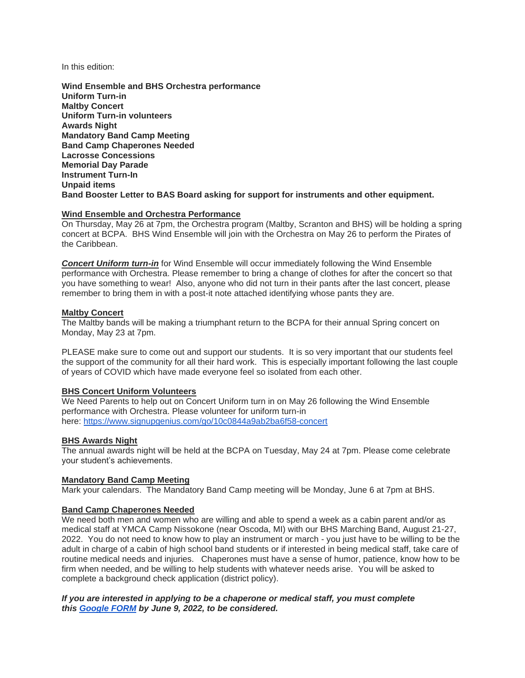In this edition:

**Wind Ensemble and BHS Orchestra performance Uniform Turn-in Maltby Concert Uniform Turn-in volunteers Awards Night Mandatory Band Camp Meeting Band Camp Chaperones Needed Lacrosse Concessions Memorial Day Parade Instrument Turn-In Unpaid items Band Booster Letter to BAS Board asking for support for instruments and other equipment.**

## **Wind Ensemble and Orchestra Performance**

On Thursday, May 26 at 7pm, the Orchestra program (Maltby, Scranton and BHS) will be holding a spring concert at BCPA. BHS Wind Ensemble will join with the Orchestra on May 26 to perform the Pirates of the Caribbean.

*Concert Uniform turn-in* for Wind Ensemble will occur immediately following the Wind Ensemble performance with Orchestra. Please remember to bring a change of clothes for after the concert so that you have something to wear! Also, anyone who did not turn in their pants after the last concert, please remember to bring them in with a post-it note attached identifying whose pants they are.

#### **Maltby Concert**

The Maltby bands will be making a triumphant return to the BCPA for their annual Spring concert on Monday, May 23 at 7pm.

PLEASE make sure to come out and support our students. It is so very important that our students feel the support of the community for all their hard work. This is especially important following the last couple of years of COVID which have made everyone feel so isolated from each other.

## **BHS Concert Uniform Volunteers**

We Need Parents to help out on Concert Uniform turn in on May 26 following the Wind Ensemble performance with Orchestra. Please volunteer for uniform turn-in here: <https://www.signupgenius.com/go/10c0844a9ab2ba6f58-concert>

## **BHS Awards Night**

The annual awards night will be held at the BCPA on Tuesday, May 24 at 7pm. Please come celebrate your student's achievements.

# **Mandatory Band Camp Meeting**

Mark your calendars. The Mandatory Band Camp meeting will be Monday, June 6 at 7pm at BHS.

#### **Band Camp Chaperones Needed**

We need both men and women who are willing and able to spend a week as a cabin parent and/or as medical staff at YMCA Camp Nissokone (near Oscoda, MI) with our BHS Marching Band, August 21-27, 2022. You do not need to know how to play an instrument or march - you just have to be willing to be the adult in charge of a cabin of high school band students or if interested in being medical staff, take care of routine medical needs and injuries. Chaperones must have a sense of humor, patience, know how to be firm when needed, and be willing to help students with whatever needs arise. You will be asked to complete a background check application (district policy).

## *If you are interested in applying to be a chaperone or medical staff, you must complete this [Google FORM](https://docs.google.com/forms/d/e/1FAIpQLSdGRFnLDqFGnVJBzZmWS1UWXMXUia6pYpRBXHqNHOOEA95Rjw/viewform?usp=sf_link) by June 9, 2022, to be considered.*